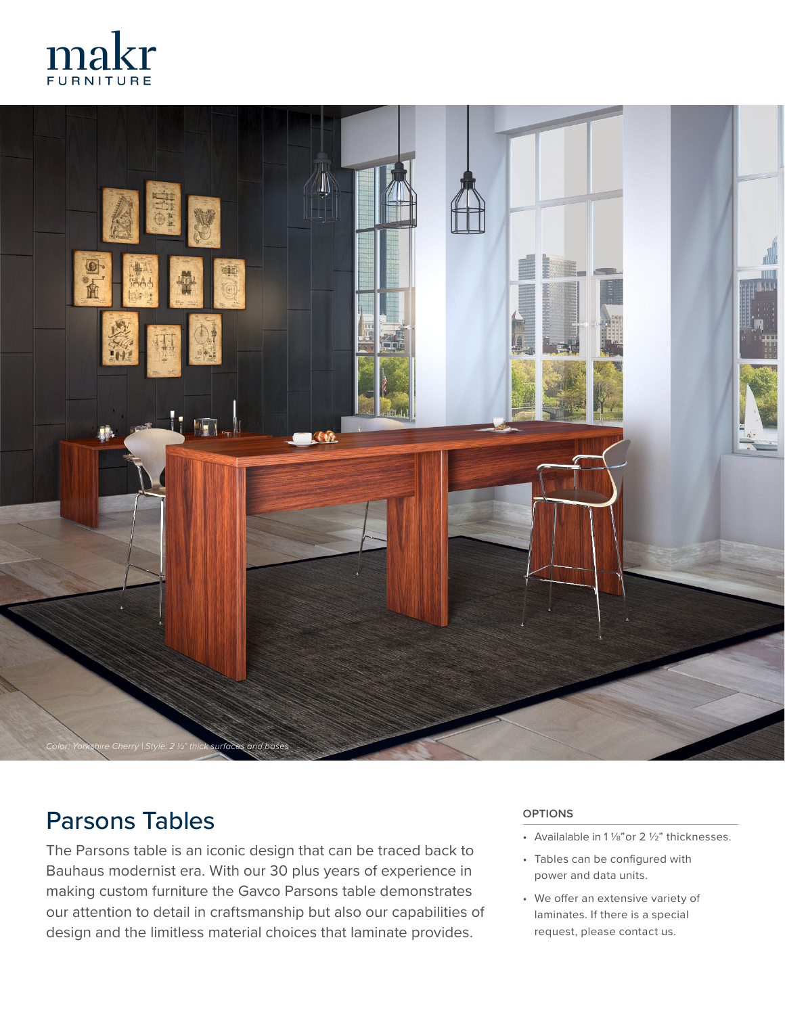



## Parsons Tables

The Parsons table is an iconic design that can be traced back to Bauhaus modernist era. With our 30 plus years of experience in making custom furniture the Gavco Parsons table demonstrates our attention to detail in craftsmanship but also our capabilities of design and the limitless material choices that laminate provides.

## **OPTIONS**

- Availalable in 1  $\frac{1}{8}$  or 2  $\frac{1}{2}$  thicknesses.
- Tables can be configured with power and data units.
- We offer an extensive variety of laminates. If there is a special request, please contact us.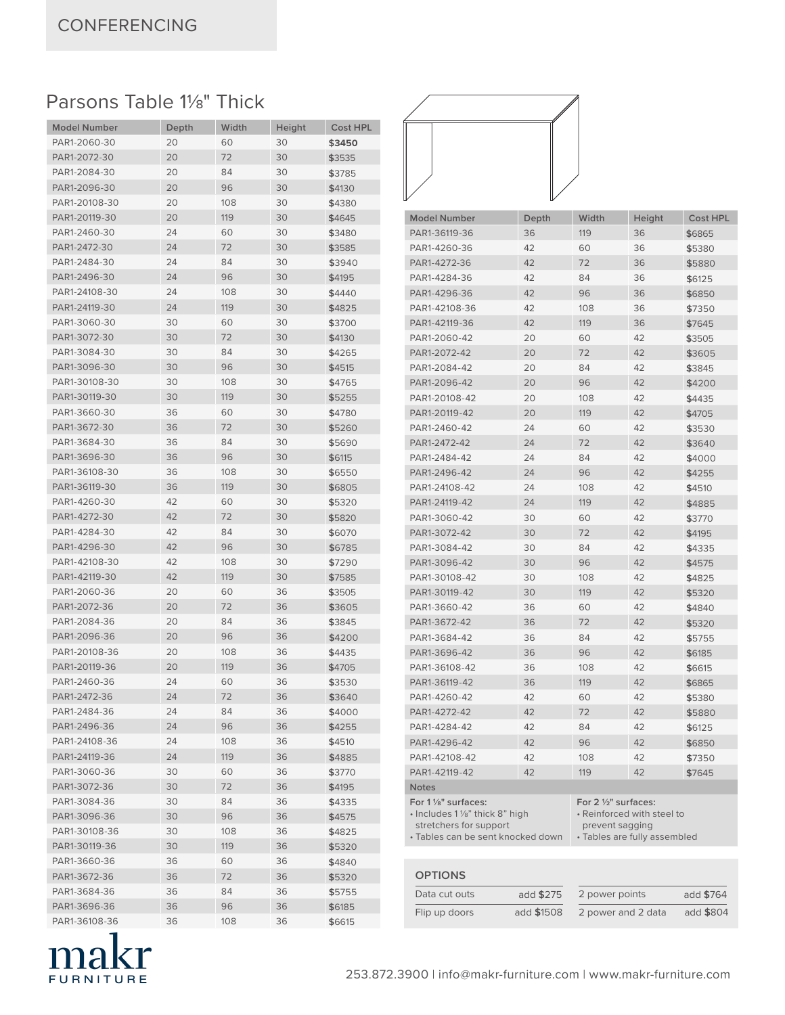## Parsons Table 1<sup>1/8</sup>" Thick

| <b>Model Number</b> | Depth | Width | Height | <b>Cost HPL</b> |
|---------------------|-------|-------|--------|-----------------|
| PAR1-2060-30        | 20    | 60    | 30     | \$3450          |
| PAR1-2072-30        | 20    | 72    | 30     | \$3535          |
| PAR1-2084-30        | 20    | 84    | 30     | \$3785          |
| PAR1-2096-30        | 20    | 96    | 30     | \$4130          |
| PAR1-20108-30       | 20    | 108   | 30     | \$4380          |
| PAR1-20119-30       | 20    | 119   | 30     | \$4645          |
| PAR1-2460-30        | 24    | 60    | 30     | \$3480          |
| PAR1-2472-30        | 24    | 72    | 30     | \$3585          |
| PAR1-2484-30        | 24    | 84    | 30     | \$3940          |
| PAR1-2496-30        | 24    | 96    | 30     | \$4195          |
| PAR1-24108-30       | 24    | 108   | 30     | \$4440          |
| PAR1-24119-30       | 24    | 119   | 30     | \$4825          |
| PAR1-3060-30        | 30    | 60    | 30     | \$3700          |
| PAR1-3072-30        | 30    | 72    | 30     | \$4130          |
| PAR1-3084-30        | 30    | 84    | 30     | \$4265          |
| PAR1-3096-30        | 30    | 96    | 30     | \$4515          |
| PAR1-30108-30       | 30    | 108   | 30     | \$4765          |
| PAR1-30119-30       | 30    | 119   | 30     | \$5255          |
| PAR1-3660-30        | 36    | 60    | 30     | \$4780          |
| PAR1-3672-30        | 36    | 72    | 30     | \$5260          |
| PAR1-3684-30        | 36    | 84    | 30     | \$5690          |
| PAR1-3696-30        | 36    | 96    | 30     | \$6115          |
| PAR1-36108-30       | 36    | 108   | 30     | \$6550          |
| PAR1-36119-30       | 36    | 119   | 30     | \$6805          |
| PAR1-4260-30        | 42    | 60    | 30     | \$5320          |
| PAR1-4272-30        | 42    | 72    | 30     | \$5820          |
| PAR1-4284-30        | 42    | 84    | 30     | \$6070          |
| PAR1-4296-30        | 42    | 96    | 30     | \$6785          |
| PAR1-42108-30       | 42    | 108   | 30     | \$7290          |
| PAR1-42119-30       | 42    | 119   | 30     | \$7585          |
| PAR1-2060-36        | 20    | 60    | 36     | \$3505          |
| PAR1-2072-36        | 20    | 72    | 36     | \$3605          |
| PAR1-2084-36        | 20    | 84    | 36     | \$3845          |
| PAR1-2096-36        | 20    | 96    | 36     | \$4200          |
| PAR1-20108-36       | 20    | 108   | 36     | \$4435          |
| PAR1-20119-36       | 20    | 119   | 36     | \$4705          |
| PAR1-2460-36        | 24    | 60    | 36     | \$3530          |
| PAR1-2472-36        | 24    | 72    | 36     | \$3640          |
| PAR1-2484-36        | 24    | 84    | 36     | \$4000          |
| PAR1-2496-36        | 24    | 96    | 36     | \$4255          |
| PAR1-24108-36       | 24    | 108   | 36     | \$4510          |
| PAR1-24119-36       | 24    | 119   | 36     | \$4885          |
| PAR1-3060-36        | 30    | 60    | 36     | \$3770          |
| PAR1-3072-36        | 30    | 72    | 36     | \$4195          |
| PAR1-3084-36        | 30    | 84    | 36     | \$4335          |
| PAR1-3096-36        | 30    | 96    | 36     | \$4575          |
| PAR1-30108-36       | 30    | 108   | 36     | \$4825          |
| PAR1-30119-36       | 30    | 119   | 36     | \$5320          |
| PAR1-3660-36        | 36    | 60    | 36     | \$4840          |
| PAR1-3672-36        | 36    | 72    | 36     | \$5320          |
| PAR1-3684-36        | 36    | 84    | 36     | \$5755          |
| PAR1-3696-36        | 36    | 96    | 36     | \$6185          |
| PAR1-36108-36       | 36    | 108   | 36     | \$6615          |



| <b>Model Number</b>                                                                                                                | Depth | Width                                                                                                 | Height | <b>Cost HPL</b> |  |
|------------------------------------------------------------------------------------------------------------------------------------|-------|-------------------------------------------------------------------------------------------------------|--------|-----------------|--|
| PAR1-36119-36                                                                                                                      | 36    | 119                                                                                                   | 36     | \$6865          |  |
| PAR1-4260-36                                                                                                                       | 42    | 60                                                                                                    | 36     | \$5380          |  |
| PAR1-4272-36                                                                                                                       | 42    | 72                                                                                                    | 36     | \$5880          |  |
| PAR1-4284-36                                                                                                                       | 42    | 84                                                                                                    | 36     | \$6125          |  |
| PAR1-4296-36                                                                                                                       | 42    | 96                                                                                                    | 36     | \$6850          |  |
| PAR1-42108-36                                                                                                                      | 42    | 108                                                                                                   | 36     | \$7350          |  |
| PAR1-42119-36                                                                                                                      | 42    | 119                                                                                                   | 36     | \$7645          |  |
| PAR1-2060-42                                                                                                                       | 20    | 60                                                                                                    | 42     | \$3505          |  |
| PAR1-2072-42                                                                                                                       | 20    | 72                                                                                                    | 42     | \$3605          |  |
| PAR1-2084-42                                                                                                                       | 20    | 84                                                                                                    | 42     | \$3845          |  |
| PAR1-2096-42                                                                                                                       | 20    | 96                                                                                                    | 42     | \$4200          |  |
| PAR1-20108-42                                                                                                                      | 20    | 108                                                                                                   | 42     | \$4435          |  |
| PAR1-20119-42                                                                                                                      | 20    | 119                                                                                                   | 42     | \$4705          |  |
| PAR1-2460-42                                                                                                                       | 24    | 60                                                                                                    | 42     | \$3530          |  |
| PAR1-2472-42                                                                                                                       | 24    | 72                                                                                                    | 42     | \$3640          |  |
| PAR1-2484-42                                                                                                                       | 24    | 84                                                                                                    | 42     | \$4000          |  |
| PAR1-2496-42                                                                                                                       | 24    | 96                                                                                                    | 42     | \$4255          |  |
| PAR1-24108-42                                                                                                                      | 24    | 108                                                                                                   | 42     | \$4510          |  |
| PAR1-24119-42                                                                                                                      | 24    | 119                                                                                                   | 42     | \$4885          |  |
| PAR1-3060-42                                                                                                                       | 30    | 60                                                                                                    | 42     | \$3770          |  |
| PAR1-3072-42                                                                                                                       | 30    | 72                                                                                                    | 42     | \$4195          |  |
| PAR1-3084-42                                                                                                                       | 30    | 84                                                                                                    | 42     | \$4335          |  |
| PAR1-3096-42                                                                                                                       | 30    | 96                                                                                                    | 42     | \$4575          |  |
| PAR1-30108-42                                                                                                                      | 30    | 108                                                                                                   | 42     | \$4825          |  |
| PAR1-30119-42                                                                                                                      | 30    | 119                                                                                                   | 42     | \$5320          |  |
| PAR1-3660-42                                                                                                                       | 36    | 60                                                                                                    | 42     | \$4840          |  |
| PAR1-3672-42                                                                                                                       | 36    | 72                                                                                                    | 42     | \$5320          |  |
| PAR1-3684-42                                                                                                                       | 36    | 84                                                                                                    | 42     | \$5755          |  |
| PAR1-3696-42                                                                                                                       | 36    | 96                                                                                                    | 42     | \$6185          |  |
| PAR1-36108-42                                                                                                                      | 36    | 108                                                                                                   | 42     | \$6615          |  |
| PAR1-36119-42                                                                                                                      | 36    | 119                                                                                                   | 42     | \$6865          |  |
| PAR1-4260-42                                                                                                                       | 42    | 60                                                                                                    | 42     | \$5380          |  |
| PAR1-4272-42                                                                                                                       | 42    | 72                                                                                                    | 42     | \$5880          |  |
| PAR1-4284-42                                                                                                                       | 42    | 84                                                                                                    | 42     | \$6125          |  |
| PAR1-4296-42                                                                                                                       | 42    | 96                                                                                                    | 42     | \$6850          |  |
| PAR1-42108-42                                                                                                                      | 42    | 108                                                                                                   | 42     | \$7350          |  |
| PAR1-42119-42                                                                                                                      | 42    | 119                                                                                                   | 42     | \$7645          |  |
| <b>Notes</b>                                                                                                                       |       |                                                                                                       |        |                 |  |
| For 1 1/ <sub>8</sub> " surfaces:<br>· Includes 11/s" thick 8" high<br>stretchers for support<br>• Tables can be sent knocked down |       | For 2 1/2" surfaces:<br>• Reinforced with steel to<br>prevent sagging<br>· Tables are fully assembled |        |                 |  |

| <b>OPTIONS</b> |            |                    |           |
|----------------|------------|--------------------|-----------|
| Data cut outs  | add \$275  | 2 power points     | add \$764 |
| Flip up doors  | add \$1508 | 2 power and 2 data | add \$804 |